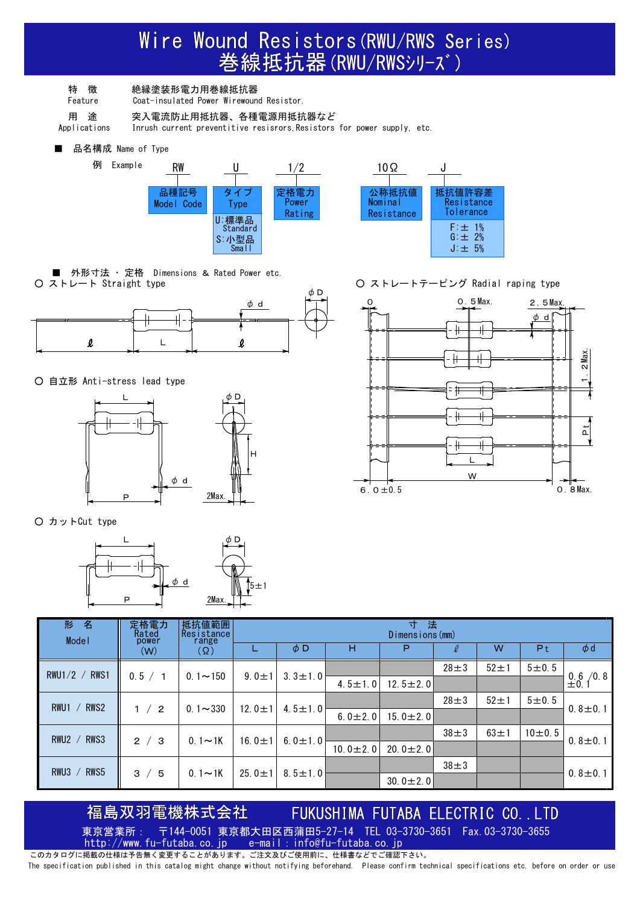## Wire Wound Resistors(RWU/RWS Series)<br>巻線抵抗器(RWU/RWSシリーズ)

特 徴 絶縁塗装形電力用巻線抵抗器

Feature Coat-insulated Power Wirewound Resistor.

用 途 突入電流防止用抵抗器、各種電源用抵抗器など

Applications Inrush current preventitive resisrors,Resistors for power supply, etc.

■ 品名構成 Name of Type





■ 外形寸法 ・ 定格 Dimensions & Rated Power etc.<br>○ ストレート Straight type



○ 自立形 Anti-stress lead type



○ カットCut type



○ ストレートテーピング Radial raping type



| 名<br>形<br>Mode I                     | 定格電力<br>Rated<br>power | 抵抗値範囲<br>Resistance<br>range |              |               |                | 寸<br>法<br>Dimensions (mm) |            |               |         |                         |  |               |                |  |  |  |               |
|--------------------------------------|------------------------|------------------------------|--------------|---------------|----------------|---------------------------|------------|---------------|---------|-------------------------|--|---------------|----------------|--|--|--|---------------|
|                                      | (W)                    | (Ω)                          |              | $\phi$ D      | н              | P                         | V,         | W             | Pt      | $\phi$ d                |  |               |                |  |  |  |               |
| RWS <sub>1</sub><br>$RWU1/2$ /       |                        |                              | $9.0 \pm 1$  |               |                |                           | $28 \pm 3$ | $52 \pm 1$    | 5 ± 0.5 |                         |  |               |                |  |  |  |               |
|                                      | 0.5 / 1                | $0.1 - 150$                  |              | $3.3 \pm 1.0$ | 4.5 $\pm$ 1.0  | 12.5 $\pm$ 2.0            |            |               |         | $0.6 / 0.8$<br>$\pm 0.$ |  |               |                |  |  |  |               |
| RWS <sub>2</sub><br>RWU <sub>1</sub> |                        |                              | 12.0 $\pm$ 1 |               |                |                           | $28 \pm 3$ | $52 \pm 1$    | 5 ± 0.5 |                         |  |               |                |  |  |  |               |
|                                      | 1 / 2                  | $0.1 - 330$                  |              |               |                |                           |            | $4.5 \pm 1.0$ |         |                         |  | 6.0 $\pm$ 2.0 | 15.0 $\pm$ 2.0 |  |  |  | $0.8 \pm 0.1$ |
| RWS3<br>RWU <sub>2</sub>             |                        | $0.1 - 1K$                   | 16.0 $\pm$ 1 |               |                |                           | $38 \pm 3$ | $63 \pm 1$    | 10±0.5  | $0.8 \pm 0.1$           |  |               |                |  |  |  |               |
|                                      | 2 / 3                  |                              |              | $6.0 \pm 1.0$ | $10.0 \pm 2.0$ | 20.0 $\pm$ 2.0            |            |               |         |                         |  |               |                |  |  |  |               |
| RWU3<br>RWS5                         | 3/5                    | $0.1 - 1K$                   | 25.0 $\pm$ 1 | $8.5 \pm 1.0$ |                |                           | $38 \pm 3$ |               |         | $0.8 \pm 0.1$           |  |               |                |  |  |  |               |
|                                      |                        |                              |              |               |                | 30.0 $\pm$ 2.0            |            |               |         |                         |  |               |                |  |  |  |               |

FUKUSHIMA FUTABA ELECTRIC CO. . LTD 福島双羽電機株式会社 東京営業所: 〒144-0051 東京都大田区西蒲田5-27-14 TEL 03-3730-3651 Fax.03-3730-3655<br>http://www.fu-futaba.co.ip e-mail:info@fu-futaba.co.ip http://www.fu-futaba.co.jp e-mail:info@fu-futaba.co.jp

このカタログに掲載の仕様は予告無く変更することがあります。ご注文及びご使用前に、仕様書などでご確認下さい。 The specification published in this catalog might change without notifying beforehand. Please confirm technical specifications etc. before on order or use